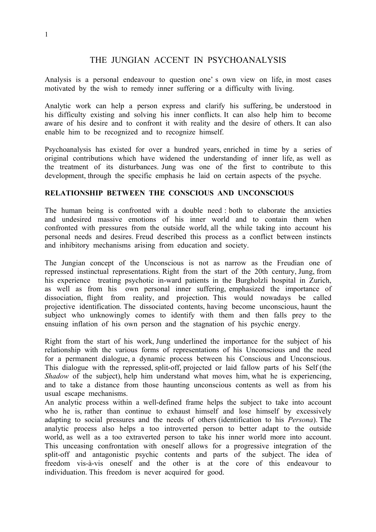# THE JUNGIAN ACCENT IN PSYCHOANALYSIS

Analysis is a personal endeavour to question one' s own view on life, in most cases motivated by the wish to remedy inner suffering or a difficulty with living.

Analytic work can help a person express and clarify his suffering, be understood in his difficulty existing and solving his inner conflicts. It can also help him to become aware of his desire and to confront it with reality and the desire of others. It can also enable him to be recognized and to recognize himself.

Psychoanalysis has existed for over a hundred years, enriched in time by a series of original contributions which have widened the understanding of inner life, as well as the treatment of its disturbances. Jung was one of the first to contribute to this development, through the specific emphasis he laid on certain aspects of the psyche.

### **RELATIONSHIP BETWEEN THE CONSCIOUS AND UNCONSCIOUS**

The human being is confronted with a double need : both to elaborate the anxieties and undesired massive emotions of his inner world and to contain them when confronted with pressures from the outside world, all the while taking into account his personal needs and desires. Freud described this process as a conflict between instincts and inhibitory mechanisms arising from education and society.

The Jungian concept of the Unconscious is not as narrow as the Freudian one of repressed instinctual representations. Right from the start of the 20th century, Jung, from his experience treating psychotic in-ward patients in the Burgholzli hospital in Zurich, as well as from his own personal inner suffering, emphasized the importance of dissociation, flight from reality, and projection. This would nowadays be called projective identification. The dissociated contents, having become unconscious, haunt the subject who unknowingly comes to identify with them and then falls prey to the ensuing inflation of his own person and the stagnation of his psychic energy.

Right from the start of his work, Jung underlined the importance for the subject of his relationship with the various forms of representations of his Unconscious and the need for a permanent dialogue, a dynamic process between his Conscious and Unconscious. This dialogue with the repressed, split-off, projected or laid fallow parts of his Self (the *Shadow* of the subject), help him understand what moves him, what he is experiencing, and to take a distance from those haunting unconscious contents as well as from his usual escape mechanisms.

An analytic process within a well-defined frame helps the subject to take into account who he is, rather than continue to exhaust himself and lose himself by excessively adapting to social pressures and the needs of others (identification to his *Persona*). The analytic process also helps a too introverted person to better adapt to the outside world, as well as a too extraverted person to take his inner world more into account. This unceasing confrontation with oneself allows for a progressive integration of the split-off and antagonistic psychic contents and parts of the subject. The idea of freedom vis-à-vis oneself and the other is at the core of this endeavour to individuation. This freedom is never acquired for good.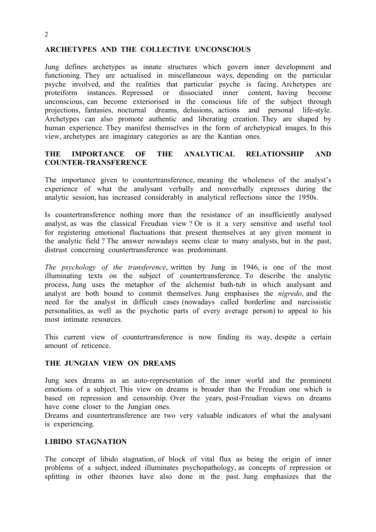#### 2

### **ARCHETYPES AND THE COLLECTIVE UNCONSCIOUS**

Jung defines archetypes as innate structures which govern inner development and functioning. They are actualised in miscellaneous ways, depending on the particular psyche involved, and the realities that particular psyche is facing. Archetypes are proteiform instances. Repressed or dissociated inner content, having become unconscious, can become exteriorised in the conscious life of the subject through projections, fantasies, nocturnal dreams, delusions, actions and personal life-style. Archetypes can also promote authentic and liberating creation. They are shaped by human experience. They manifest themselves in the form of archetypical images. In this view, archetypes are imaginary categories as are the Kantian ones.

## **THE IMPORTANCE OF THE ANALYTICAL RELATIONSHIP AND COUNTER-TRANSFERENCE**

The importance given to countertransference, meaning the wholeness of the analyst's experience of what the analysant verbally and nonverbally expresses during the analytic session, has increased considerably in analytical reflections since the 1950s.

Is countertransference nothing more than the resistance of an insufficiently analysed analyst, as was the classical Freudian view ? Or is it a very sensitive and useful tool for registering emotional fluctuations that present themselves at any given moment in the analytic field ? The answer nowadays seems clear to many analysts, but in the past, distrust concerning countertransference was predominant.

*The psychology of the transference*, written by Jung in 1946, is one of the most illuminating texts on the subject of countertransference. To describe the analytic process, Jung uses the metaphor of the alchemist bath-tub in which analysant and analyst are both bound to commit themselves. Jung emphasises the *nigredo*, and the need for the analyst in difficult cases (nowadays called borderline and narcissistic personalities, as well as the psychotic parts of every average person) to appeal to his most intimate resources.

This current view of countertransference is now finding its way, despite a certain amount of reticence.

## **THE JUNGIAN VIEW ON DREAMS**

Jung sees dreams as an auto-representation of the inner world and the prominent emotions of a subject. This view on dreams is broader than the Freudian one which is based on repression and censorship. Over the years, post-Freudian views on dreams have come closer to the Jungian ones.

Dreams and countertransference are two very valuable indicators of what the analysant is experiencing.

#### **LIBIDO STAGNATION**

The concept of libido stagnation, of block of vital flux as being the origin of inner problems of a subject, indeed illuminates psychopathology, as concepts of repression or splitting in other theories have also done in the past. Jung emphasizes that the